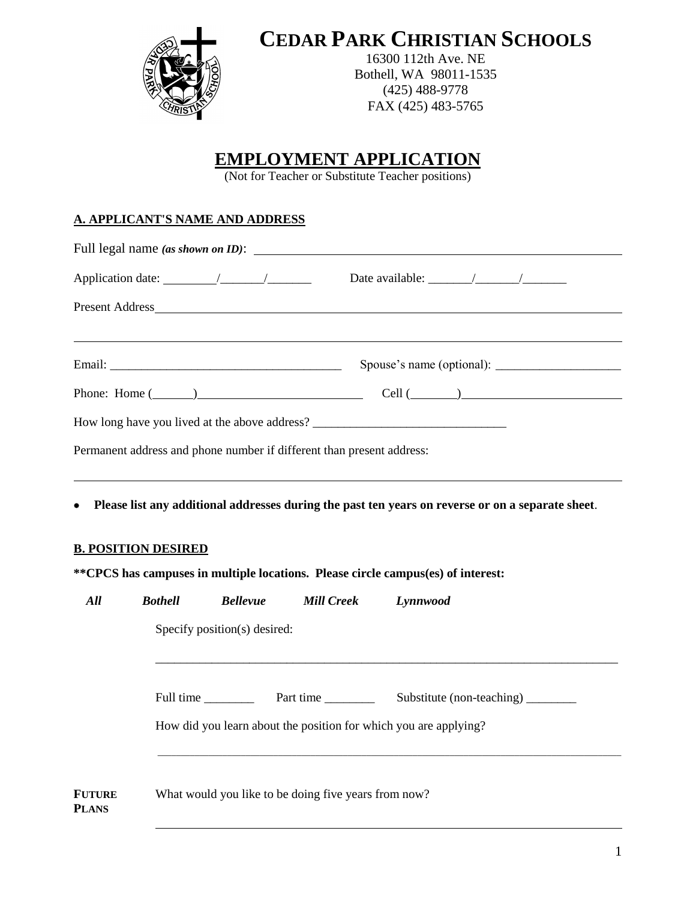

**CEDAR PARK CHRISTIAN SCHOOLS**

16300 112th Ave. NE Bothell, WA 98011-1535 (425) 488-9778 FAX (425) 483-5765

# **EMPLOYMENT APPLICATION**

(Not for Teacher or Substitute Teacher positions)

### **A. APPLICANT'S NAME AND ADDRESS**

**PLANS**

|               |                            |                              |                                                                       | Present Address and the state of the state of the state of the state of the state of the state of the state of the state of the state of the state of the state of the state of the state of the state of the state of the sta |
|---------------|----------------------------|------------------------------|-----------------------------------------------------------------------|--------------------------------------------------------------------------------------------------------------------------------------------------------------------------------------------------------------------------------|
|               |                            |                              |                                                                       |                                                                                                                                                                                                                                |
|               |                            |                              |                                                                       | Phone: Home $(\_\_)$                                                                                                                                                                                                           |
|               |                            |                              |                                                                       | How long have you lived at the above address?                                                                                                                                                                                  |
|               |                            |                              | Permanent address and phone number if different than present address: |                                                                                                                                                                                                                                |
|               | <b>B. POSITION DESIRED</b> |                              |                                                                       |                                                                                                                                                                                                                                |
|               |                            |                              |                                                                       | **CPCS has campuses in multiple locations. Please circle campus(es) of interest:                                                                                                                                               |
| All           | <b>Bothell</b>             | <b>Bellevue</b>              | <b>Mill Creek</b>                                                     | Lynnwood                                                                                                                                                                                                                       |
|               |                            | Specify position(s) desired: |                                                                       |                                                                                                                                                                                                                                |
|               |                            |                              |                                                                       |                                                                                                                                                                                                                                |
|               |                            |                              |                                                                       | How did you learn about the position for which you are applying?                                                                                                                                                               |
| <b>FUTURE</b> |                            |                              | What would you like to be doing five years from now?                  |                                                                                                                                                                                                                                |

1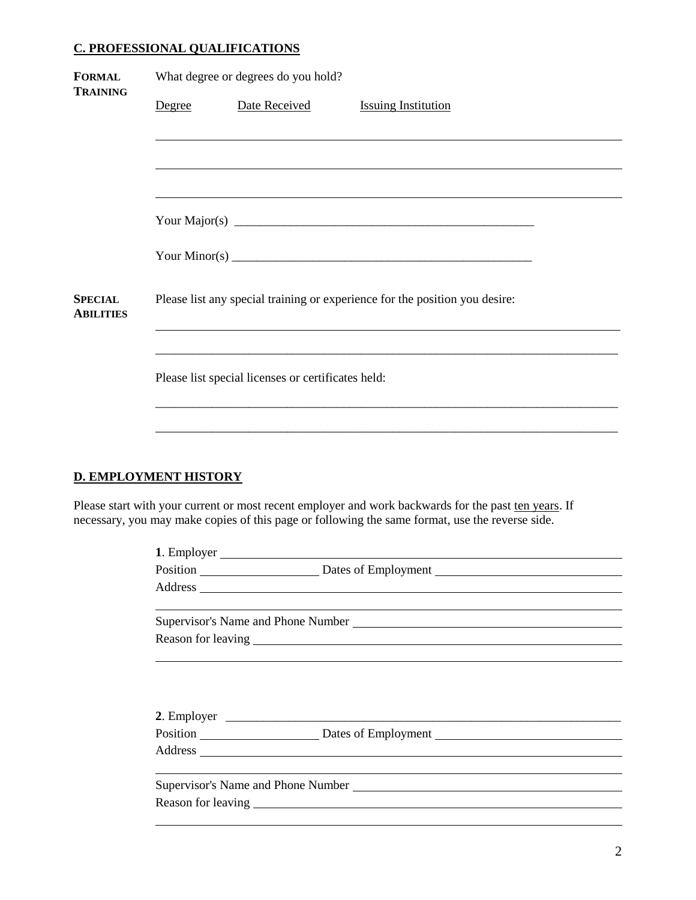#### **C. PROFESSIONAL QUALIFICATIONS**

| <b>FORMAL</b><br><b>TRAINING</b>   | What degree or degrees do you hold? |                                                    |                                                                                                                                                                                                                                                                                                                    |  |  |
|------------------------------------|-------------------------------------|----------------------------------------------------|--------------------------------------------------------------------------------------------------------------------------------------------------------------------------------------------------------------------------------------------------------------------------------------------------------------------|--|--|
|                                    | Degree                              | Date Received                                      | <b>Issuing Institution</b>                                                                                                                                                                                                                                                                                         |  |  |
|                                    |                                     |                                                    |                                                                                                                                                                                                                                                                                                                    |  |  |
|                                    |                                     |                                                    |                                                                                                                                                                                                                                                                                                                    |  |  |
|                                    |                                     |                                                    | ,我们也不会有什么。""我们的人,我们也不会有什么?""我们的人,我们也不会有什么?""我们的人,我们也不会有什么?""我们的人,我们也不会有什么?""我们的人                                                                                                                                                                                                                                   |  |  |
|                                    |                                     |                                                    |                                                                                                                                                                                                                                                                                                                    |  |  |
|                                    |                                     |                                                    | Your Minor(s) $\frac{1}{2}$ $\frac{1}{2}$ $\frac{1}{2}$ $\frac{1}{2}$ $\frac{1}{2}$ $\frac{1}{2}$ $\frac{1}{2}$ $\frac{1}{2}$ $\frac{1}{2}$ $\frac{1}{2}$ $\frac{1}{2}$ $\frac{1}{2}$ $\frac{1}{2}$ $\frac{1}{2}$ $\frac{1}{2}$ $\frac{1}{2}$ $\frac{1}{2}$ $\frac{1}{2}$ $\frac{1}{2}$ $\frac{1}{2}$ $\frac{1}{2$ |  |  |
| <b>SPECIAL</b><br><b>ABILITIES</b> |                                     |                                                    | Please list any special training or experience for the position you desire:                                                                                                                                                                                                                                        |  |  |
|                                    |                                     | Please list special licenses or certificates held: |                                                                                                                                                                                                                                                                                                                    |  |  |
|                                    |                                     |                                                    |                                                                                                                                                                                                                                                                                                                    |  |  |

## **D. EMPLOYMENT HISTORY**

Please start with your current or most recent employer and work backwards for the past ten years. If necessary, you may make copies of this page or following the same format, use the reverse side.

| Position Dates of Employment                                                                                                                                                                                                   |  |
|--------------------------------------------------------------------------------------------------------------------------------------------------------------------------------------------------------------------------------|--|
| Address and the contract of the contract of the contract of the contract of the contract of the contract of the contract of the contract of the contract of the contract of the contract of the contract of the contract of th |  |
|                                                                                                                                                                                                                                |  |
|                                                                                                                                                                                                                                |  |
|                                                                                                                                                                                                                                |  |
|                                                                                                                                                                                                                                |  |
| Position Dates of Employment                                                                                                                                                                                                   |  |
| Address and the contract of the contract of the contract of the contract of the contract of the contract of the contract of the contract of the contract of the contract of the contract of the contract of the contract of th |  |
|                                                                                                                                                                                                                                |  |
|                                                                                                                                                                                                                                |  |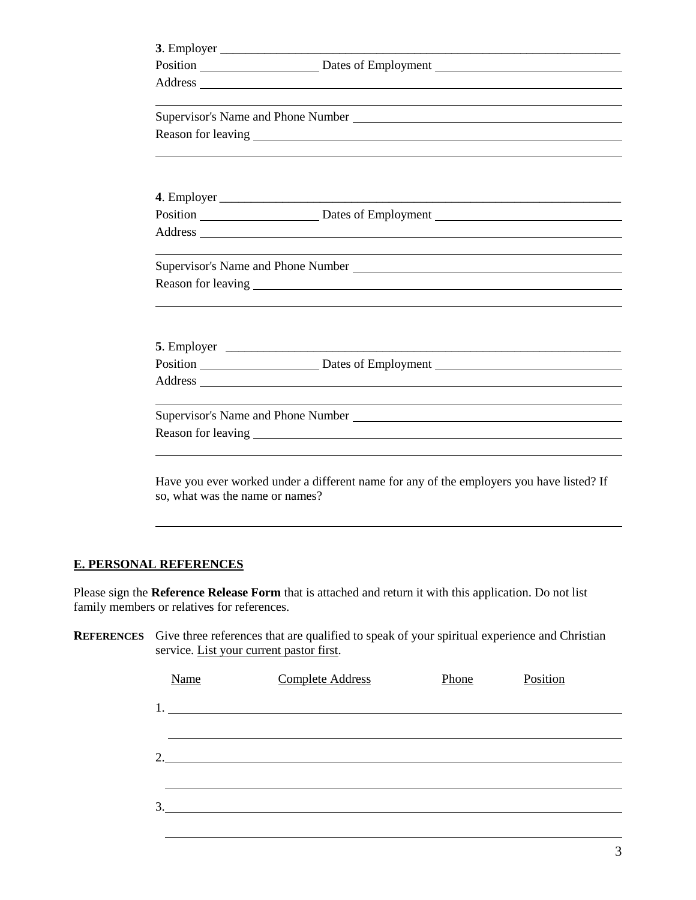|                                 | Position Dates of Employment Dates of Employment                                                                                                                                                                               |
|---------------------------------|--------------------------------------------------------------------------------------------------------------------------------------------------------------------------------------------------------------------------------|
|                                 | Address and the contract of the contract of the contract of the contract of the contract of the contract of the contract of the contract of the contract of the contract of the contract of the contract of the contract of th |
|                                 |                                                                                                                                                                                                                                |
|                                 |                                                                                                                                                                                                                                |
|                                 |                                                                                                                                                                                                                                |
|                                 |                                                                                                                                                                                                                                |
|                                 |                                                                                                                                                                                                                                |
|                                 |                                                                                                                                                                                                                                |
|                                 | Position Dates of Employment Dates of Employment                                                                                                                                                                               |
|                                 |                                                                                                                                                                                                                                |
|                                 |                                                                                                                                                                                                                                |
|                                 |                                                                                                                                                                                                                                |
|                                 |                                                                                                                                                                                                                                |
|                                 |                                                                                                                                                                                                                                |
|                                 |                                                                                                                                                                                                                                |
|                                 |                                                                                                                                                                                                                                |
|                                 | Position Dates of Employment Dates Communication Dates of Employment                                                                                                                                                           |
|                                 | Address and the contract of the contract of the contract of the contract of the contract of the contract of the contract of the contract of the contract of the contract of the contract of the contract of the contract of th |
|                                 | <u> 1989 - Johann Stoff, amerikansk politiker (d. 1989)</u>                                                                                                                                                                    |
|                                 | Supervisor's Name and Phone Number League and Supervisor's Name and Phone Number                                                                                                                                               |
|                                 |                                                                                                                                                                                                                                |
|                                 |                                                                                                                                                                                                                                |
|                                 |                                                                                                                                                                                                                                |
|                                 | Have you ever worked under a different name for any of the employers you have listed? If                                                                                                                                       |
| so, what was the name or names? |                                                                                                                                                                                                                                |

### **E. PERSONAL REFERENCES**

Please sign the **Reference Release Form** that is attached and return it with this application. Do not list family members or relatives for references.

**REFERENCES** Give three references that are qualified to speak of your spiritual experience and Christian service. List your current pastor first.

| Name                                                                                                                                                                                                                                                                                                                                                                                                                                                                   | <b>Complete Address</b> | Phone | Position |  |
|------------------------------------------------------------------------------------------------------------------------------------------------------------------------------------------------------------------------------------------------------------------------------------------------------------------------------------------------------------------------------------------------------------------------------------------------------------------------|-------------------------|-------|----------|--|
| $1.$ $\overline{\phantom{a}}$ $\overline{\phantom{a}}$ $\overline{\phantom{a}}$ $\overline{\phantom{a}}$ $\overline{\phantom{a}}$ $\overline{\phantom{a}}$ $\overline{\phantom{a}}$ $\overline{\phantom{a}}$ $\overline{\phantom{a}}$ $\overline{\phantom{a}}$ $\overline{\phantom{a}}$ $\overline{\phantom{a}}$ $\overline{\phantom{a}}$ $\overline{\phantom{a}}$ $\overline{\phantom{a}}$ $\overline{\phantom{a}}$ $\overline{\phantom{a}}$ $\overline{\phantom{a}}$ |                         |       |          |  |
|                                                                                                                                                                                                                                                                                                                                                                                                                                                                        |                         |       |          |  |
| 2.                                                                                                                                                                                                                                                                                                                                                                                                                                                                     |                         |       |          |  |
|                                                                                                                                                                                                                                                                                                                                                                                                                                                                        |                         |       |          |  |
| 3.                                                                                                                                                                                                                                                                                                                                                                                                                                                                     |                         |       |          |  |
|                                                                                                                                                                                                                                                                                                                                                                                                                                                                        |                         |       |          |  |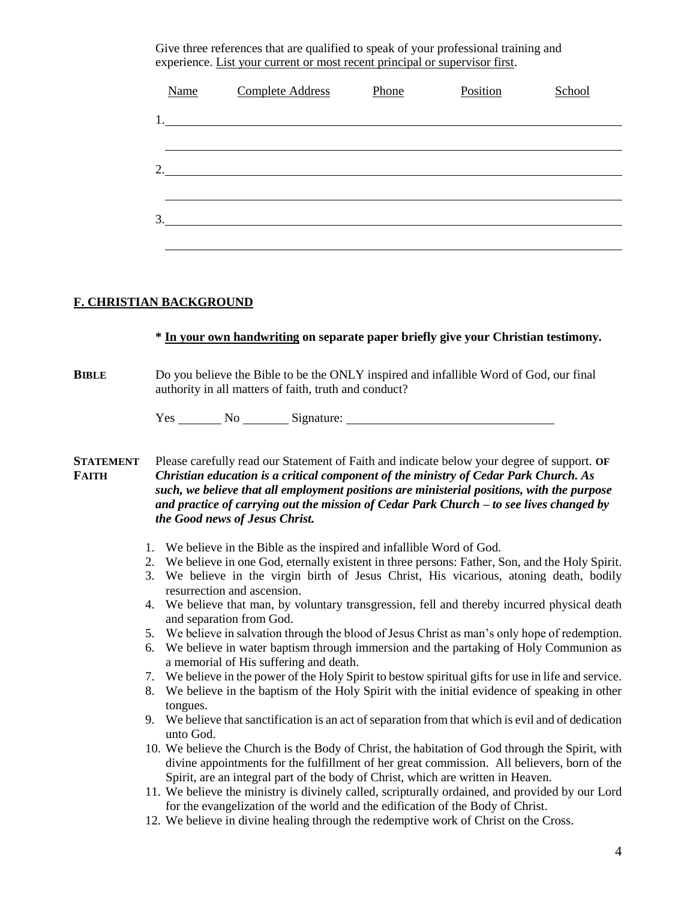Give three references that are qualified to speak of your professional training and experience. List your current or most recent principal or supervisor first.

| <b>Name</b> | <b>Complete Address</b> | Phone | Position | School |
|-------------|-------------------------|-------|----------|--------|
|             |                         |       |          |        |
|             |                         |       |          |        |
| 2.          |                         |       |          |        |
|             |                         |       |          |        |
| 3.          |                         |       |          |        |
|             |                         |       |          |        |

#### **F. CHRISTIAN BACKGROUND**

## **\* In your own handwriting on separate paper briefly give your Christian testimony.**

#### **BIBLE** Do you believe the Bible to be the ONLY inspired and infallible Word of God, our final authority in all matters of faith, truth and conduct?

Yes No Signature:

**STATEMENT** Please carefully read our Statement of Faith and indicate below your degree of support. **OF FAITH** *Christian education is a critical component of the ministry of Cedar Park Church. As such, we believe that all employment positions are ministerial positions, with the purpose and practice of carrying out the mission of Cedar Park Church – to see lives changed by the Good news of Jesus Christ.*

- 1. We believe in the Bible as the inspired and infallible Word of God.
- 2. We believe in one God, eternally existent in three persons: Father, Son, and the Holy Spirit.
- 3. We believe in the virgin birth of Jesus Christ, His vicarious, atoning death, bodily resurrection and ascension.
- 4. We believe that man, by voluntary transgression, fell and thereby incurred physical death and separation from God.
- 5. We believe in salvation through the blood of Jesus Christ as man's only hope of redemption.
- 6. We believe in water baptism through immersion and the partaking of Holy Communion as a memorial of His suffering and death.
- 7. We believe in the power of the Holy Spirit to bestow spiritual gifts for use in life and service.
- 8. We believe in the baptism of the Holy Spirit with the initial evidence of speaking in other tongues.
- 9. We believe that sanctification is an act of separation from that which is evil and of dedication unto God.
- 10. We believe the Church is the Body of Christ, the habitation of God through the Spirit, with divine appointments for the fulfillment of her great commission. All believers, born of the Spirit, are an integral part of the body of Christ, which are written in Heaven.
- 11. We believe the ministry is divinely called, scripturally ordained, and provided by our Lord for the evangelization of the world and the edification of the Body of Christ.
- 12. We believe in divine healing through the redemptive work of Christ on the Cross.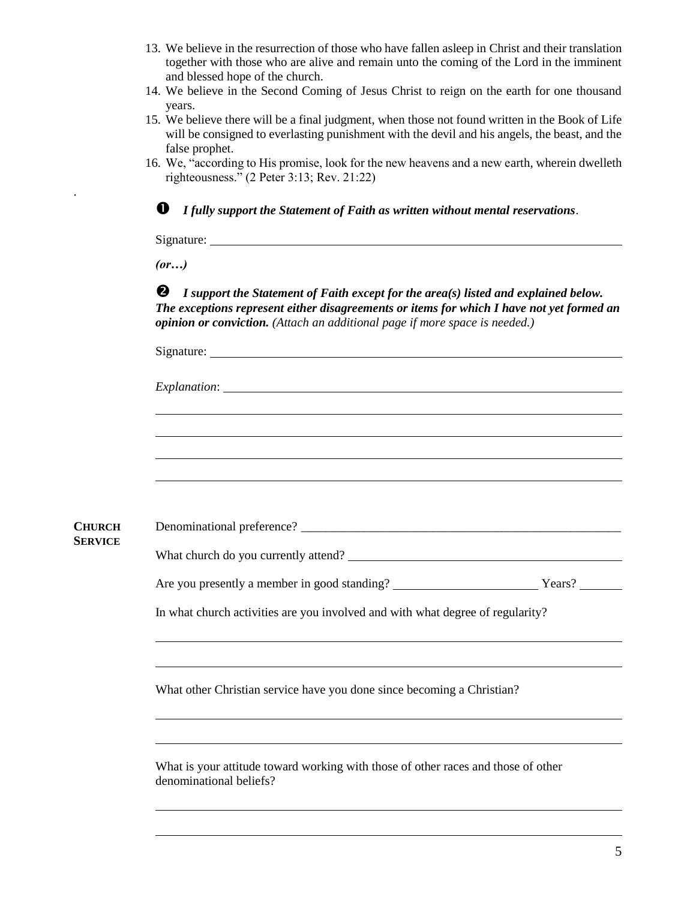- 13. We believe in the resurrection of those who have fallen asleep in Christ and their translation together with those who are alive and remain unto the coming of the Lord in the imminent and blessed hope of the church.
- 14. We believe in the Second Coming of Jesus Christ to reign on the earth for one thousand years.
- 15. We believe there will be a final judgment, when those not found written in the Book of Life will be consigned to everlasting punishment with the devil and his angels, the beast, and the false prophet.
- 16. We, "according to His promise, look for the new heavens and a new earth, wherein dwelleth righteousness." (2 Peter 3:13; Rev. 21:22)

*I fully support the Statement of Faith as written without mental reservations*.

Signature:

*(or…)*

.

 *I support the Statement of Faith except for the area(s) listed and explained below. The exceptions represent either disagreements or items for which I have not yet formed an opinion or conviction. (Attach an additional page if more space is needed.)*

| <b>CHURCH</b>  |                                                                                                              |  |  |  |  |
|----------------|--------------------------------------------------------------------------------------------------------------|--|--|--|--|
| <b>SERVICE</b> |                                                                                                              |  |  |  |  |
|                |                                                                                                              |  |  |  |  |
|                | In what church activities are you involved and with what degree of regularity?                               |  |  |  |  |
|                |                                                                                                              |  |  |  |  |
|                | What other Christian service have you done since becoming a Christian?                                       |  |  |  |  |
|                |                                                                                                              |  |  |  |  |
|                | What is your attitude toward working with those of other races and those of other<br>denominational beliefs? |  |  |  |  |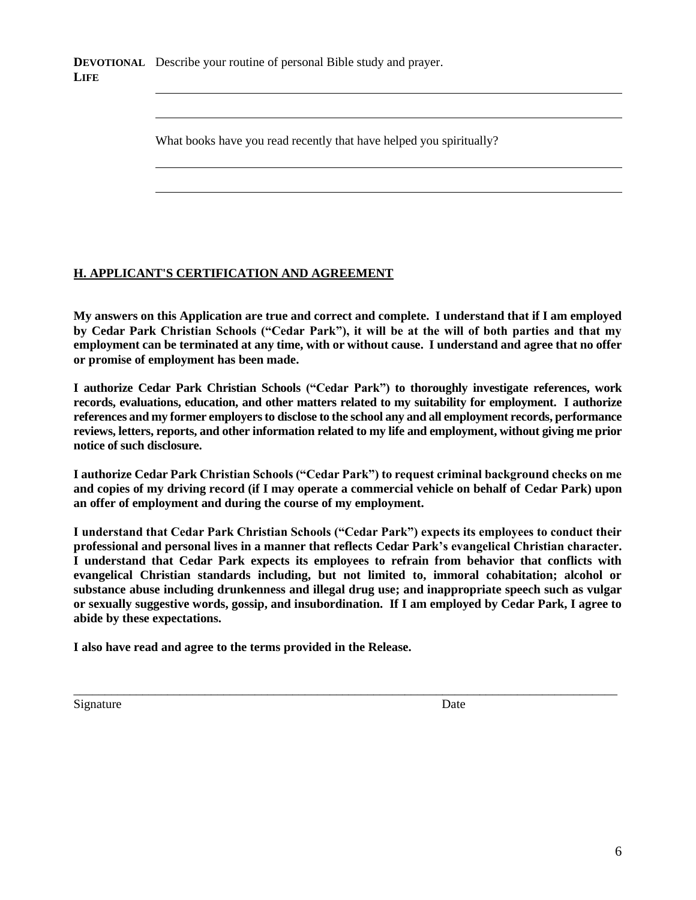**DEVOTIONAL** Describe your routine of personal Bible study and prayer. **LIFE**

What books have you read recently that have helped you spiritually?

### **H. APPLICANT'S CERTIFICATION AND AGREEMENT**

**My answers on this Application are true and correct and complete. I understand that if I am employed by Cedar Park Christian Schools ("Cedar Park"), it will be at the will of both parties and that my employment can be terminated at any time, with or without cause. I understand and agree that no offer or promise of employment has been made.** 

**I authorize Cedar Park Christian Schools ("Cedar Park") to thoroughly investigate references, work records, evaluations, education, and other matters related to my suitability for employment. I authorize references and my former employers to disclose to the school any and all employment records, performance reviews, letters, reports, and other information related to my life and employment, without giving me prior notice of such disclosure.**

**I authorize Cedar Park Christian Schools ("Cedar Park") to request criminal background checks on me and copies of my driving record (if I may operate a commercial vehicle on behalf of Cedar Park) upon an offer of employment and during the course of my employment.** 

**I understand that Cedar Park Christian Schools ("Cedar Park") expects its employees to conduct their professional and personal lives in a manner that reflects Cedar Park's evangelical Christian character. I understand that Cedar Park expects its employees to refrain from behavior that conflicts with evangelical Christian standards including, but not limited to, immoral cohabitation; alcohol or substance abuse including drunkenness and illegal drug use; and inappropriate speech such as vulgar or sexually suggestive words, gossip, and insubordination. If I am employed by Cedar Park, I agree to abide by these expectations.**

\_\_\_\_\_\_\_\_\_\_\_\_\_\_\_\_\_\_\_\_\_\_\_\_\_\_\_\_\_\_\_\_\_\_\_\_\_\_\_\_\_\_\_\_\_\_\_\_\_\_\_\_\_\_\_\_\_\_\_\_\_\_\_\_\_\_\_\_\_\_\_\_\_\_\_\_\_\_\_\_\_\_\_\_\_\_\_

**I also have read and agree to the terms provided in the Release.** 

Signature Date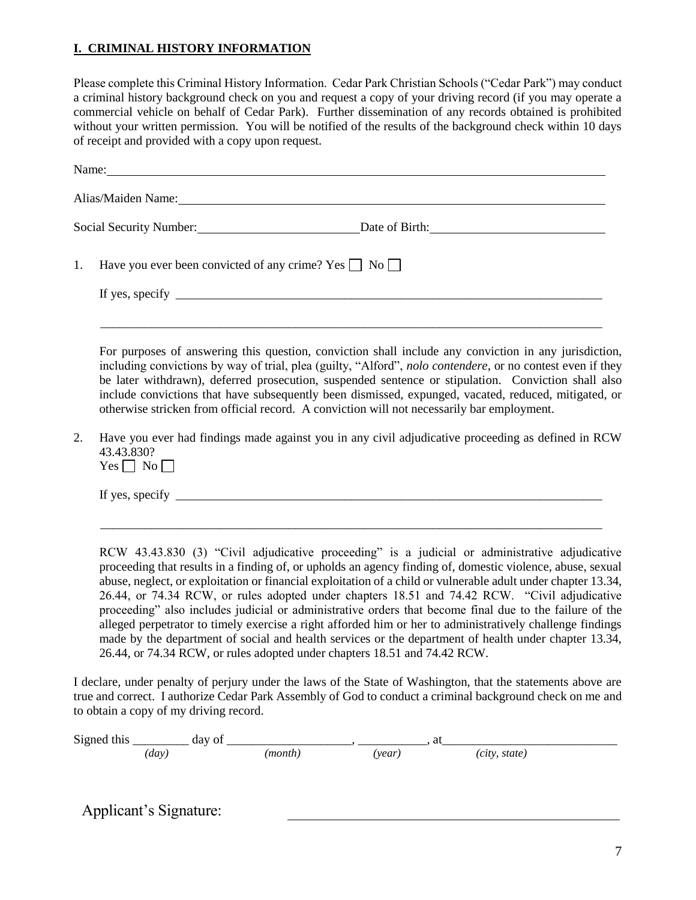### **I. CRIMINAL HISTORY INFORMATION**

Please complete this Criminal History Information. Cedar Park Christian Schools ("Cedar Park") may conduct a criminal history background check on you and request a copy of your driving record (if you may operate a commercial vehicle on behalf of Cedar Park). Further dissemination of any records obtained is prohibited without your written permission. You will be notified of the results of the background check within 10 days of receipt and provided with a copy upon request.

|    | Name: Name and the second contract of the second contract of the second contract of the second contract of the second contract of the second contract of the second contract of the second contract of the second contract of                                                                                                                                                                                                                                                                                                                                                                                                                                                                                                                                                                                                                                                                             |
|----|-----------------------------------------------------------------------------------------------------------------------------------------------------------------------------------------------------------------------------------------------------------------------------------------------------------------------------------------------------------------------------------------------------------------------------------------------------------------------------------------------------------------------------------------------------------------------------------------------------------------------------------------------------------------------------------------------------------------------------------------------------------------------------------------------------------------------------------------------------------------------------------------------------------|
|    | Alias/Maiden Name: 1988 Manual Manual Manual Manual Manual Manual Manual Manual Manual Manual Manual Manual Ma                                                                                                                                                                                                                                                                                                                                                                                                                                                                                                                                                                                                                                                                                                                                                                                            |
|    | Social Security Number: Date of Birth: Date of Birth:                                                                                                                                                                                                                                                                                                                                                                                                                                                                                                                                                                                                                                                                                                                                                                                                                                                     |
| 1. | Have you ever been convicted of any crime? Yes $\Box$ No $\Box$                                                                                                                                                                                                                                                                                                                                                                                                                                                                                                                                                                                                                                                                                                                                                                                                                                           |
|    | If yes, specify $\frac{1}{\sqrt{1-\frac{1}{2}}\sqrt{1-\frac{1}{2}}\sqrt{1-\frac{1}{2}}\sqrt{1-\frac{1}{2}}\sqrt{1-\frac{1}{2}}\sqrt{1-\frac{1}{2}}\sqrt{1-\frac{1}{2}}\sqrt{1-\frac{1}{2}}\sqrt{1-\frac{1}{2}}\sqrt{1-\frac{1}{2}}\sqrt{1-\frac{1}{2}}\sqrt{1-\frac{1}{2}}\sqrt{1-\frac{1}{2}}\sqrt{1-\frac{1}{2}}\sqrt{1-\frac{1}{2}}\sqrt{1-\frac{1}{2}}\sqrt{1-\frac{1}{2}}\sqrt{1-\frac{1}{2}}\$                                                                                                                                                                                                                                                                                                                                                                                                                                                                                                      |
| 2. | For purposes of answering this question, conviction shall include any conviction in any jurisdiction,<br>including convictions by way of trial, plea (guilty, "Alford", nolo contendere, or no contest even if they<br>be later withdrawn), deferred prosecution, suspended sentence or stipulation. Conviction shall also<br>include convictions that have subsequently been dismissed, expunged, vacated, reduced, mitigated, or<br>otherwise stricken from official record. A conviction will not necessarily bar employment.<br>Have you ever had findings made against you in any civil adjudicative proceeding as defined in RCW                                                                                                                                                                                                                                                                    |
|    | 43.43.830?<br>$Yes \Box No \Box$                                                                                                                                                                                                                                                                                                                                                                                                                                                                                                                                                                                                                                                                                                                                                                                                                                                                          |
|    | If yes, specify $\frac{1}{\sqrt{1-\frac{1}{2}}\sqrt{1-\frac{1}{2}}\sqrt{1-\frac{1}{2}}\sqrt{1-\frac{1}{2}}\sqrt{1-\frac{1}{2}}\sqrt{1-\frac{1}{2}}\sqrt{1-\frac{1}{2}}\sqrt{1-\frac{1}{2}}\sqrt{1-\frac{1}{2}}\sqrt{1-\frac{1}{2}}\sqrt{1-\frac{1}{2}}\sqrt{1-\frac{1}{2}}\sqrt{1-\frac{1}{2}}\sqrt{1-\frac{1}{2}}\sqrt{1-\frac{1}{2}}\sqrt{1-\frac{1}{2}}\sqrt{1-\frac{1}{2}}\sqrt{1-\frac{1}{2}}\$                                                                                                                                                                                                                                                                                                                                                                                                                                                                                                      |
|    | <u> 1989 - Johann Stoff, amerikansk politik (d. 1989)</u><br>RCW 43.43.830 (3) "Civil adjudicative proceeding" is a judicial or administrative adjudicative<br>proceeding that results in a finding of, or upholds an agency finding of, domestic violence, abuse, sexual<br>abuse, neglect, or exploitation or financial exploitation of a child or vulnerable adult under chapter 13.34,<br>26.44, or 74.34 RCW, or rules adopted under chapters 18.51 and 74.42 RCW. "Civil adjudicative<br>proceeding" also includes judicial or administrative orders that become final due to the failure of the<br>alleged perpetrator to timely exercise a right afforded him or her to administratively challenge findings<br>made by the department of social and health services or the department of health under chapter 13.34,<br>26.44, or 74.34 RCW, or rules adopted under chapters 18.51 and 74.42 RCW. |
|    | I declare under penalty of persury under the laws of the State of Westington, that the statements shows are                                                                                                                                                                                                                                                                                                                                                                                                                                                                                                                                                                                                                                                                                                                                                                                               |

I declare, under penalty of perjury under the laws of the State of Washington, that the statements above are true and correct. I authorize Cedar Park Assembly of God to conduct a criminal background check on me and to obtain a copy of my driving record.

| Signed<br>this | . dav<br>Оl |       | . .  |                 |
|----------------|-------------|-------|------|-----------------|
|                | (day        | month | year | state)<br>CITY. |

Applicant's Signature: